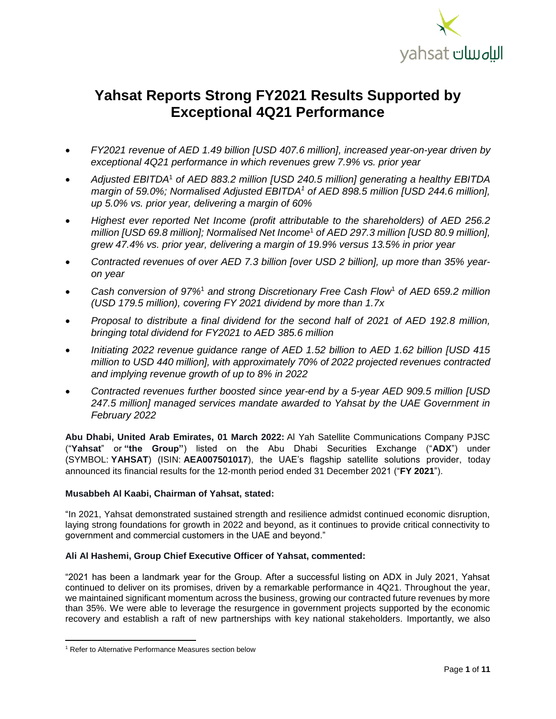<span id="page-0-0"></span>

# **Yahsat Reports Strong FY2021 Results Supported by Exceptional 4Q21 Performance**

- *FY2021 revenue of AED 1.49 billion [USD 407.6 million], increased year-on-year driven by exceptional 4Q21 performance in which revenues grew 7.9% vs. prior year*
- *Adjusted EBITDA*<sup>1</sup> *of AED 883.2 million [USD 240.5 million] generating a healthy EBITDA margin of 59.0%; Normalised Adjusted EBITDA<sup>1</sup> of AED 898.5 million [USD 244.6 million], up 5.0% vs. prior year, delivering a margin of 60%*
- *Highest ever reported Net Income (profit attributable to the shareholders) of AED 256.2 million [USD 69.8 million]; Normalised Net Incom[e](#page-0-0)*<sup>1</sup> *of AED 297.3 million [USD 80.9 million], grew 47.4% vs. prior year, delivering a margin of 19.9% versus 13.5% in prior year*
- *Contracted revenues of over AED 7.3 billion [over USD 2 billion], up more than 35% yearon year*
- *Cash conversion of 97%*[1](#page-0-0) *and strong Discretionary Free Cash Flow*[1](#page-0-0) *of AED 659.2 million (USD 179.5 million), covering FY 2021 dividend by more than 1.7x*
- *Proposal to distribute a final dividend for the second half of 2021 of AED 192.8 million, bringing total dividend for FY2021 to AED 385.6 million*
- *Initiating 2022 revenue guidance range of AED 1.52 billion to AED 1.62 billion [USD 415 million to USD 440 million], with approximately 70% of 2022 projected revenues contracted and implying revenue growth of up to 8% in 2022*
- *Contracted revenues further boosted since year-end by a 5-year AED 909.5 million [USD 247.5 million] managed services mandate awarded to Yahsat by the UAE Government in February 2022*

**Abu Dhabi, United Arab Emirates, 01 March 2022:** Al Yah Satellite Communications Company PJSC ("**Yahsat**" or **"the Group"**) listed on the Abu Dhabi Securities Exchange ("**ADX**") under (SYMBOL: **YAHSAT**) (ISIN: **AEA007501017**), the UAE's flagship satellite solutions provider, today announced its financial results for the 12-month period ended 31 December 2021 ("**FY 2021**").

# **Musabbeh Al Kaabi, Chairman of Yahsat, stated:**

"In 2021, Yahsat demonstrated sustained strength and resilience admidst continued economic disruption, laying strong foundations for growth in 2022 and beyond, as it continues to provide critical connectivity to government and commercial customers in the UAE and beyond."

## **Ali Al Hashemi, Group Chief Executive Officer of Yahsat, commented:**

"2021 has been a landmark year for the Group. After a successful listing on ADX in July 2021, Yahsat continued to deliver on its promises, driven by a remarkable performance in 4Q21. Throughout the year, we maintained significant momentum across the business, growing our contracted future revenues by more than 35%. We were able to leverage the resurgence in government projects supported by the economic recovery and establish a raft of new partnerships with key national stakeholders. Importantly, we also

 $\overline{\phantom{a}}$ 

<sup>1</sup> Refer to Alternative Performance Measures section below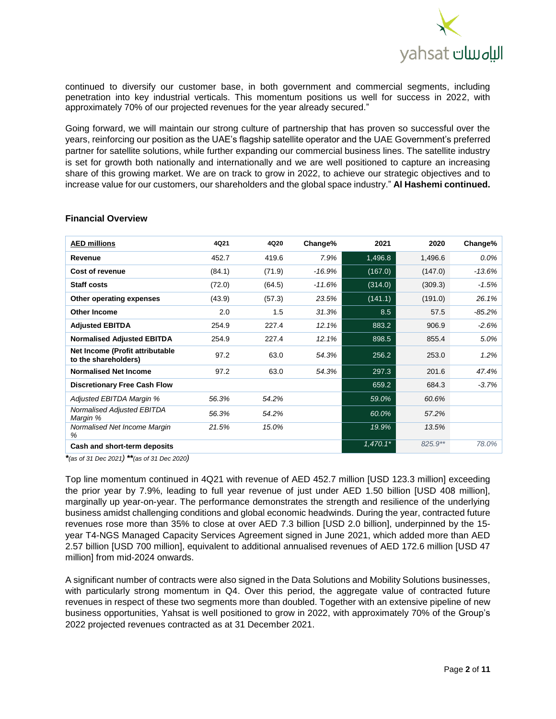

continued to diversify our customer base, in both government and commercial segments, including penetration into key industrial verticals. This momentum positions us well for success in 2022, with approximately 70% of our projected revenues for the year already secured."

Going forward, we will maintain our strong culture of partnership that has proven so successful over the years, reinforcing our position as the UAE's flagship satellite operator and the UAE Government's preferred partner for satellite solutions, while further expanding our commercial business lines. The satellite industry is set for growth both nationally and internationally and we are well positioned to capture an increasing share of this growing market. We are on track to grow in 2022, to achieve our strategic objectives and to increase value for our customers, our shareholders and the global space industry." **Al Hashemi continued.**

| <b>AED millions</b>                                     | 4Q21   | 4Q20   | Change%  | 2021       | 2020    | Change%  |
|---------------------------------------------------------|--------|--------|----------|------------|---------|----------|
| Revenue                                                 | 452.7  | 419.6  | 7.9%     | 1,496.8    | 1,496.6 | $0.0\%$  |
| Cost of revenue                                         | (84.1) | (71.9) | $-16.9%$ | (167.0)    | (147.0) | -13.6%   |
| <b>Staff costs</b>                                      | (72.0) | (64.5) | $-11.6%$ | (314.0)    | (309.3) | $-1.5%$  |
| Other operating expenses                                | (43.9) | (57.3) | 23.5%    | (141.1)    | (191.0) | 26.1%    |
| <b>Other Income</b>                                     | 2.0    | 1.5    | 31.3%    | 8.5        | 57.5    | $-85.2%$ |
| <b>Adjusted EBITDA</b>                                  | 254.9  | 227.4  | 12.1%    | 883.2      | 906.9   | $-2.6%$  |
| <b>Normalised Adjusted EBITDA</b>                       | 254.9  | 227.4  | 12.1%    | 898.5      | 855.4   | 5.0%     |
| Net Income (Profit attributable<br>to the shareholders) | 97.2   | 63.0   | 54.3%    | 256.2      | 253.0   | 1.2%     |
| <b>Normalised Net Income</b>                            | 97.2   | 63.0   | 54.3%    | 297.3      | 201.6   | 47.4%    |
| <b>Discretionary Free Cash Flow</b>                     |        |        |          | 659.2      | 684.3   | $-3.7%$  |
| Adjusted EBITDA Margin %                                | 56.3%  | 54.2%  |          | 59.0%      | 60.6%   |          |
| Normalised Adjusted EBITDA<br>Margin %                  | 56.3%  | 54.2%  |          | 60.0%      | 57.2%   |          |
| Normalised Net Income Margin<br>%                       | 21.5%  | 15.0%  |          | 19.9%      | 13.5%   |          |
| Cash and short-term deposits                            |        |        |          | $1,470.1*$ | 825.9** | 78.0%    |

#### **Financial Overview**

*\*(as of 31 Dec 2021) \*\*(as of 31 Dec 2020)*

Top line momentum continued in 4Q21 with revenue of AED 452.7 million [USD 123.3 million] exceeding the prior year by 7.9%, leading to full year revenue of just under AED 1.50 billion [USD 408 million], marginally up year-on-year. The performance demonstrates the strength and resilience of the underlying business amidst challenging conditions and global economic headwinds. During the year, contracted future revenues rose more than 35% to close at over AED 7.3 billion [USD 2.0 billion], underpinned by the 15 year T4-NGS Managed Capacity Services Agreement signed in June 2021, which added more than AED 2.57 billion [USD 700 million], equivalent to additional annualised revenues of AED 172.6 million [USD 47 million] from mid-2024 onwards.

A significant number of contracts were also signed in the Data Solutions and Mobility Solutions businesses, with particularly strong momentum in Q4. Over this period, the aggregate value of contracted future revenues in respect of these two segments more than doubled. Together with an extensive pipeline of new business opportunities, Yahsat is well positioned to grow in 2022, with approximately 70% of the Group's 2022 projected revenues contracted as at 31 December 2021.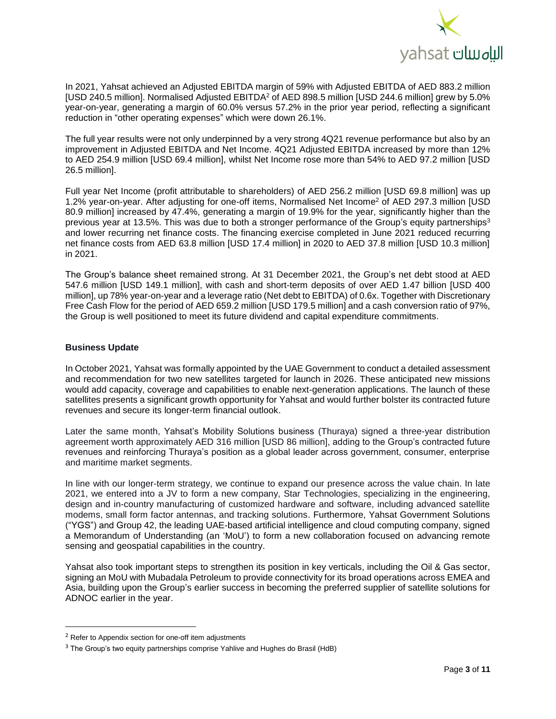

In 2021, Yahsat achieved an Adjusted EBITDA margin of 59% with Adjusted EBITDA of AED 883.2 million [USD 240.5 million]. Normalised Adjusted EBITDA<sup>2</sup> of AED 898.5 million [USD 244.6 million] grew by 5.0% year-on-year, generating a margin of 60.0% versus 57.2% in the prior year period, reflecting a significant reduction in "other operating expenses" which were down 26.1%.

The full year results were not only underpinned by a very strong 4Q21 revenue performance but also by an improvement in Adjusted EBITDA and Net Income. 4Q21 Adjusted EBITDA increased by more than 12% to AED 254.9 million [USD 69.4 million], whilst Net Income rose more than 54% to AED 97.2 million [USD 26.5 million].

Full year Net Income (profit attributable to shareholders) of AED 256.2 million [USD 69.8 million] was up 1.2% year-on-year. After adjusting for one-off items, Normalised Net Income<sup>2</sup> of AED 297.3 million [USD 80.9 million] increased by 47.4%, generating a margin of 19.9% for the year, significantly higher than the previous year at 13.5%. This was due to both a stronger performance of the Group's equity partnerships<sup>3</sup> and lower recurring net finance costs. The financing exercise completed in June 2021 reduced recurring net finance costs from AED 63.8 million [USD 17.4 million] in 2020 to AED 37.8 million [USD 10.3 million] in 2021.

The Group's balance sheet remained strong. At 31 December 2021, the Group's net debt stood at AED 547.6 million [USD 149.1 million], with cash and short-term deposits of over AED 1.47 billion [USD 400 million], up 78% year-on-year and a leverage ratio (Net debt to EBITDA) of 0.6x. Together with Discretionary Free Cash Flow for the period of AED 659.2 million [USD 179.5 million] and a cash conversion ratio of 97%, the Group is well positioned to meet its future dividend and capital expenditure commitments.

# **Business Update**

In October 2021, Yahsat was formally appointed by the UAE Government to conduct a detailed assessment and recommendation for two new satellites targeted for launch in 2026. These anticipated new missions would add capacity, coverage and capabilities to enable next-generation applications. The launch of these satellites presents a significant growth opportunity for Yahsat and would further bolster its contracted future revenues and secure its longer-term financial outlook.

Later the same month, Yahsat's Mobility Solutions business (Thuraya) signed a three-year distribution agreement worth approximately AED 316 million [USD 86 million], adding to the Group's contracted future revenues and reinforcing Thuraya's position as a global leader across government, consumer, enterprise and maritime market segments.

In line with our longer-term strategy, we continue to expand our presence across the value chain. In late 2021, we entered into a JV to form a new company, Star Technologies, specializing in the engineering, design and in-country manufacturing of customized hardware and software, including advanced satellite modems, small form factor antennas, and tracking solutions. Furthermore, Yahsat Government Solutions ("YGS") and Group 42, the leading UAE-based artificial intelligence and cloud computing company, signed a Memorandum of Understanding (an 'MoU') to form a new collaboration focused on advancing remote sensing and geospatial capabilities in the country.

Yahsat also took important steps to strengthen its position in key verticals, including the Oil & Gas sector, signing an MoU with Mubadala Petroleum to provide connectivity for its broad operations across EMEA and Asia, building upon the Group's earlier success in becoming the preferred supplier of satellite solutions for ADNOC earlier in the year.

l

 $2$  Refer to Appendix section for one-off item adjustments

 $3$  The Group's two equity partnerships comprise Yahlive and Hughes do Brasil (HdB)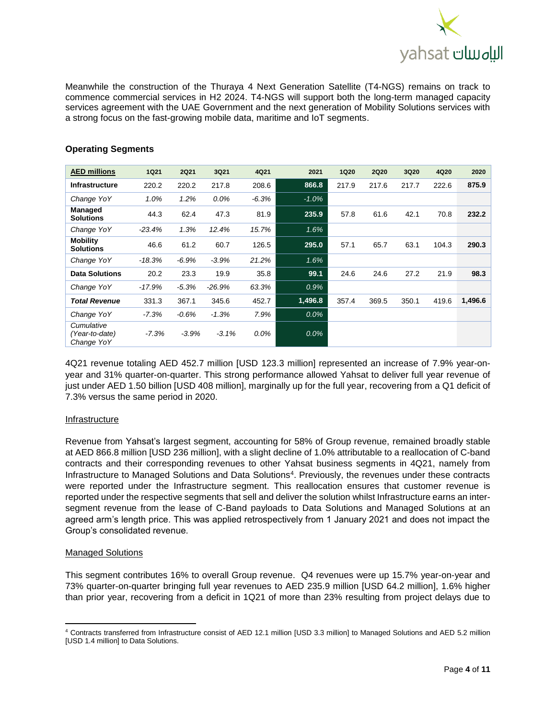

Meanwhile the construction of the Thuraya 4 Next Generation Satellite (T4-NGS) remains on track to commence commercial services in H2 2024. T4-NGS will support both the long-term managed capacity services agreement with the UAE Government and the next generation of Mobility Solutions services with a strong focus on the fast-growing mobile data, maritime and IoT segments.

| <b>AED millions</b>                        | <b>1Q21</b> | <b>2Q21</b> | 3Q21     | 4Q21    | 2021    | <b>1Q20</b> | <b>2Q20</b> | <b>3Q20</b> | 4Q20  | 2020    |
|--------------------------------------------|-------------|-------------|----------|---------|---------|-------------|-------------|-------------|-------|---------|
| <b>Infrastructure</b>                      | 220.2       | 220.2       | 217.8    | 208.6   | 866.8   | 217.9       | 217.6       | 217.7       | 222.6 | 875.9   |
| Change YoY                                 | 1.0%        | 1.2%        | $0.0\%$  | $-6.3%$ | $-1.0%$ |             |             |             |       |         |
| Managed<br><b>Solutions</b>                | 44.3        | 62.4        | 47.3     | 81.9    | 235.9   | 57.8        | 61.6        | 42.1        | 70.8  | 232.2   |
| Change YoY                                 | $-23.4%$    | 1.3%        | 12.4%    | 15.7%   | 1.6%    |             |             |             |       |         |
| <b>Mobility</b><br><b>Solutions</b>        | 46.6        | 61.2        | 60.7     | 126.5   | 295.0   | 57.1        | 65.7        | 63.1        | 104.3 | 290.3   |
| Change YoY                                 | $-18.3%$    | $-6.9%$     | $-3.9%$  | 21.2%   | 1.6%    |             |             |             |       |         |
| <b>Data Solutions</b>                      | 20.2        | 23.3        | 19.9     | 35.8    | 99.1    | 24.6        | 24.6        | 27.2        | 21.9  | 98.3    |
| Change YoY                                 | $-17.9%$    | $-5.3%$     | $-26.9%$ | 63.3%   | 0.9%    |             |             |             |       |         |
| <b>Total Revenue</b>                       | 331.3       | 367.1       | 345.6    | 452.7   | 1,496.8 | 357.4       | 369.5       | 350.1       | 419.6 | 1,496.6 |
| Change YoY                                 | $-7.3%$     | $-0.6%$     | $-1.3%$  | 7.9%    | $0.0\%$ |             |             |             |       |         |
| Cumulative<br>(Year-to-date)<br>Change YoY | $-7.3%$     | $-3.9%$     | $-3.1%$  | 0.0%    | $0.0\%$ |             |             |             |       |         |

# **Operating Segments**

4Q21 revenue totaling AED 452.7 million [USD 123.3 million] represented an increase of 7.9% year-onyear and 31% quarter-on-quarter. This strong performance allowed Yahsat to deliver full year revenue of just under AED 1.50 billion [USD 408 million], marginally up for the full year, recovering from a Q1 deficit of 7.3% versus the same period in 2020.

# Infrastructure

Revenue from Yahsat's largest segment, accounting for 58% of Group revenue, remained broadly stable at AED 866.8 million [USD 236 million], with a slight decline of 1.0% attributable to a reallocation of C-band contracts and their corresponding revenues to other Yahsat business segments in 4Q21, namely from Infrastructure to Managed Solutions and Data Solutions<sup>4</sup> . Previously, the revenues under these contracts were reported under the Infrastructure segment. This reallocation ensures that customer revenue is reported under the respective segments that sell and deliver the solution whilst Infrastructure earns an intersegment revenue from the lease of C-Band payloads to Data Solutions and Managed Solutions at an agreed arm's length price. This was applied retrospectively from 1 January 2021 and does not impact the Group's consolidated revenue.

# Managed Solutions

 $\overline{\phantom{a}}$ 

This segment contributes 16% to overall Group revenue. Q4 revenues were up 15.7% year-on-year and 73% quarter-on-quarter bringing full year revenues to AED 235.9 million [USD 64.2 million], 1.6% higher than prior year, recovering from a deficit in 1Q21 of more than 23% resulting from project delays due to

<sup>4</sup> Contracts transferred from Infrastructure consist of AED 12.1 million [USD 3.3 million] to Managed Solutions and AED 5.2 million [USD 1.4 million] to Data Solutions.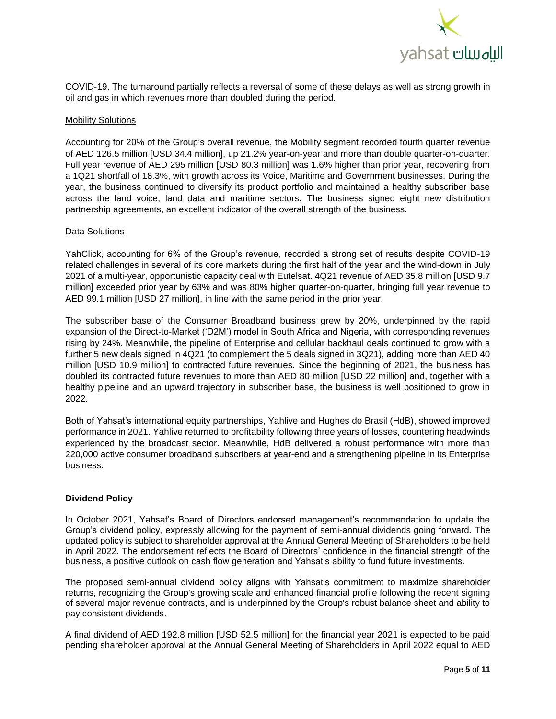

COVID-19. The turnaround partially reflects a reversal of some of these delays as well as strong growth in oil and gas in which revenues more than doubled during the period.

#### **Mobility Solutions**

Accounting for 20% of the Group's overall revenue, the Mobility segment recorded fourth quarter revenue of AED 126.5 million [USD 34.4 million], up 21.2% year-on-year and more than double quarter-on-quarter. Full year revenue of AED 295 million [USD 80.3 million] was 1.6% higher than prior year, recovering from a 1Q21 shortfall of 18.3%, with growth across its Voice, Maritime and Government businesses. During the year, the business continued to diversify its product portfolio and maintained a healthy subscriber base across the land voice, land data and maritime sectors. The business signed eight new distribution partnership agreements, an excellent indicator of the overall strength of the business.

#### Data Solutions

YahClick, accounting for 6% of the Group's revenue, recorded a strong set of results despite COVID-19 related challenges in several of its core markets during the first half of the year and the wind-down in July 2021 of a multi-year, opportunistic capacity deal with Eutelsat. 4Q21 revenue of AED 35.8 million [USD 9.7 million] exceeded prior year by 63% and was 80% higher quarter-on-quarter, bringing full year revenue to AED 99.1 million [USD 27 million], in line with the same period in the prior year.

The subscriber base of the Consumer Broadband business grew by 20%, underpinned by the rapid expansion of the Direct-to-Market ('D2M') model in South Africa and Nigeria, with corresponding revenues rising by 24%. Meanwhile, the pipeline of Enterprise and cellular backhaul deals continued to grow with a further 5 new deals signed in 4Q21 (to complement the 5 deals signed in 3Q21), adding more than AED 40 million [USD 10.9 million] to contracted future revenues. Since the beginning of 2021, the business has doubled its contracted future revenues to more than AED 80 million [USD 22 million] and, together with a healthy pipeline and an upward trajectory in subscriber base, the business is well positioned to grow in 2022.

Both of Yahsat's international equity partnerships, Yahlive and Hughes do Brasil (HdB), showed improved performance in 2021. Yahlive returned to profitability following three years of losses, countering headwinds experienced by the broadcast sector. Meanwhile, HdB delivered a robust performance with more than 220,000 active consumer broadband subscribers at year-end and a strengthening pipeline in its Enterprise business.

## **Dividend Policy**

In October 2021, Yahsat's Board of Directors endorsed management's recommendation to update the Group's dividend policy, expressly allowing for the payment of semi-annual dividends going forward. The updated policy is subject to shareholder approval at the Annual General Meeting of Shareholders to be held in April 2022. The endorsement reflects the Board of Directors' confidence in the financial strength of the business, a positive outlook on cash flow generation and Yahsat's ability to fund future investments.

The proposed semi-annual dividend policy aligns with Yahsat's commitment to maximize shareholder returns, recognizing the Group's growing scale and enhanced financial profile following the recent signing of several major revenue contracts, and is underpinned by the Group's robust balance sheet and ability to pay consistent dividends.

A final dividend of AED 192.8 million [USD 52.5 million] for the financial year 2021 is expected to be paid pending shareholder approval at the Annual General Meeting of Shareholders in April 2022 equal to AED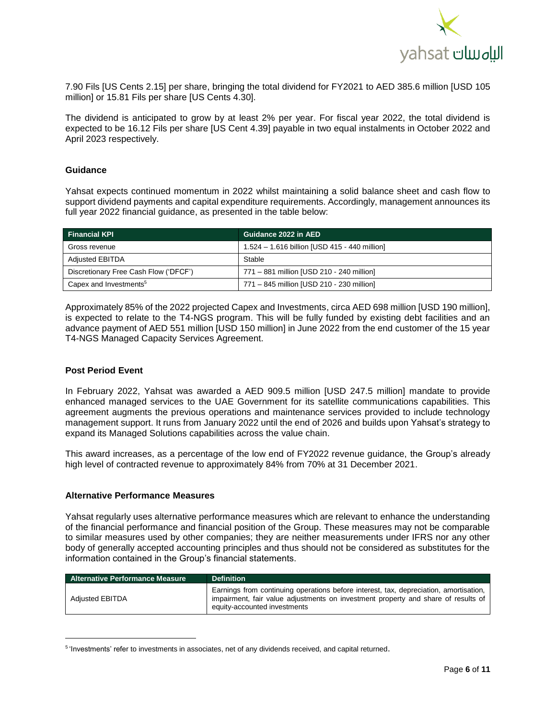

7.90 Fils [US Cents 2.15] per share, bringing the total dividend for FY2021 to AED 385.6 million [USD 105 million] or 15.81 Fils per share [US Cents 4.30].

The dividend is anticipated to grow by at least 2% per year. For fiscal year 2022, the total dividend is expected to be 16.12 Fils per share [US Cent 4.39] payable in two equal instalments in October 2022 and April 2023 respectively.

#### **Guidance**

Yahsat expects continued momentum in 2022 whilst maintaining a solid balance sheet and cash flow to support dividend payments and capital expenditure requirements. Accordingly, management announces its full year 2022 financial guidance, as presented in the table below:

| <b>Financial KPI</b>                  | Guidance 2022 in AED                          |
|---------------------------------------|-----------------------------------------------|
| Gross revenue                         | 1.524 - 1.616 billion [USD 415 - 440 million] |
| <b>Adjusted EBITDA</b>                | Stable                                        |
| Discretionary Free Cash Flow ('DFCF') | 771 - 881 million [USD 210 - 240 million]     |
| Capex and Investments <sup>5</sup>    | 771 - 845 million [USD 210 - 230 million]     |

Approximately 85% of the 2022 projected Capex and Investments, circa AED 698 million [USD 190 million], is expected to relate to the T4-NGS program. This will be fully funded by existing debt facilities and an advance payment of AED 551 million [USD 150 million] in June 2022 from the end customer of the 15 year T4-NGS Managed Capacity Services Agreement.

#### **Post Period Event**

 $\overline{\phantom{a}}$ 

In February 2022, Yahsat was awarded a AED 909.5 million [USD 247.5 million] mandate to provide enhanced managed services to the UAE Government for its satellite communications capabilities. This agreement augments the previous operations and maintenance services provided to include technology management support. It runs from January 2022 until the end of 2026 and builds upon Yahsat's strategy to expand its Managed Solutions capabilities across the value chain.

This award increases, as a percentage of the low end of FY2022 revenue guidance, the Group's already high level of contracted revenue to approximately 84% from 70% at 31 December 2021.

#### **Alternative Performance Measures**

Yahsat regularly uses alternative performance measures which are relevant to enhance the understanding of the financial performance and financial position of the Group. These measures may not be comparable to similar measures used by other companies; they are neither measurements under IFRS nor any other body of generally accepted accounting principles and thus should not be considered as substitutes for the information contained in the Group's financial statements.

| <b>Alternative Performance Measure</b> | <b>Definition</b>                                                                                                                                                                                          |
|----------------------------------------|------------------------------------------------------------------------------------------------------------------------------------------------------------------------------------------------------------|
| <b>Adiusted EBITDA</b>                 | Earnings from continuing operations before interest, tax, depreciation, amortisation,<br>impairment, fair value adjustments on investment property and share of results of<br>equity-accounted investments |

<sup>&</sup>lt;sup>5</sup>'Investments' refer to investments in associates, net of any dividends received, and capital returned.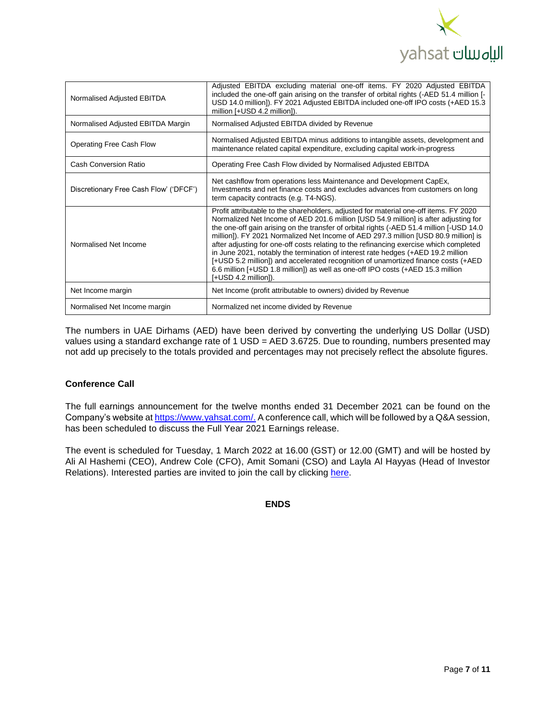

| Normalised Adjusted EBITDA             | Adjusted EBITDA excluding material one-off items. FY 2020 Adjusted EBITDA<br>included the one-off gain arising on the transfer of orbital rights (-AED 51.4 million [-<br>USD 14.0 million]). FY 2021 Adjusted EBITDA included one-off IPO costs (+AED 15.3<br>million [+USD 4.2 million]).                                                                                                                                                                                                                                                                                                                                                                                                                                                      |
|----------------------------------------|--------------------------------------------------------------------------------------------------------------------------------------------------------------------------------------------------------------------------------------------------------------------------------------------------------------------------------------------------------------------------------------------------------------------------------------------------------------------------------------------------------------------------------------------------------------------------------------------------------------------------------------------------------------------------------------------------------------------------------------------------|
| Normalised Adjusted EBITDA Margin      | Normalised Adjusted EBITDA divided by Revenue                                                                                                                                                                                                                                                                                                                                                                                                                                                                                                                                                                                                                                                                                                    |
| Operating Free Cash Flow               | Normalised Adjusted EBITDA minus additions to intangible assets, development and<br>maintenance related capital expenditure, excluding capital work-in-progress                                                                                                                                                                                                                                                                                                                                                                                                                                                                                                                                                                                  |
| Cash Conversion Ratio                  | Operating Free Cash Flow divided by Normalised Adjusted EBITDA                                                                                                                                                                                                                                                                                                                                                                                                                                                                                                                                                                                                                                                                                   |
| Discretionary Free Cash Flow' ('DFCF') | Net cashflow from operations less Maintenance and Development CapEx,<br>Investments and net finance costs and excludes advances from customers on long<br>term capacity contracts (e.g. T4-NGS).                                                                                                                                                                                                                                                                                                                                                                                                                                                                                                                                                 |
| Normalised Net Income                  | Profit attributable to the shareholders, adjusted for material one-off items. FY 2020<br>Normalized Net Income of AED 201.6 million [USD 54.9 million] is after adjusting for<br>the one-off gain arising on the transfer of orbital rights (-AED 51.4 million [-USD 14.0]<br>million]). FY 2021 Normalized Net Income of AED 297.3 million [USD 80.9 million] is<br>after adjusting for one-off costs relating to the refinancing exercise which completed<br>in June 2021, notably the termination of interest rate hedges (+AED 19.2 million<br>[+USD 5.2 million]) and accelerated recognition of unamortized finance costs (+AED<br>6.6 million [+USD 1.8 million]) as well as one-off IPO costs (+AED 15.3 million<br>[+USD 4.2 million]). |
| Net Income margin                      | Net Income (profit attributable to owners) divided by Revenue                                                                                                                                                                                                                                                                                                                                                                                                                                                                                                                                                                                                                                                                                    |
| Normalised Net Income margin           | Normalized net income divided by Revenue                                                                                                                                                                                                                                                                                                                                                                                                                                                                                                                                                                                                                                                                                                         |

The numbers in UAE Dirhams (AED) have been derived by converting the underlying US Dollar (USD) values using a standard exchange rate of 1 USD = AED 3.6725. Due to rounding, numbers presented may not add up precisely to the totals provided and percentages may not precisely reflect the absolute figures.

# **Conference Call**

The full earnings announcement for the twelve months ended 31 December 2021 can be found on the Company's website at [https://www.yahsat.com/.](https://www.yahsat.com/) A conference call, which will be followed by a Q&A session, has been scheduled to discuss the Full Year 2021 Earnings release.

The event is scheduled for Tuesday, 1 March 2022 at 16.00 (GST) or 12.00 (GMT) and will be hosted by Ali Al Hashemi (CEO), Andrew Cole (CFO), Amit Somani (CSO) and Layla Al Hayyas (Head of Investor Relations). Interested parties are invited to join the call by clicking [here.](https://efghermesevents.webex.com/mw3300/mywebex/default.do?nomenu=true&siteurl=efghermesevents&service=6&rnd=0.44870608881233576&main_url=https%3A%2F%2Fefghermesevents.webex.com%2Fec3300%2Feventcenter%2Fevent%2FeventAction.do%3FtheAction%3Ddetail%26%26%26EMK%3D4832534b000000056dc40b62df5bd9eea91bfa7d970faa5e6cc14d11ca0e75751bdef929bdd497ef%26siteurl%3Defghermesevents%26confViewID%3D216933540389980288%26encryptTicket%3DSDJTSwAAAAV4UV3PdGGgisFLu0GgrqcdZ8P-QmcVCi6fbQ0i6kqYpw2%26)

**ENDS**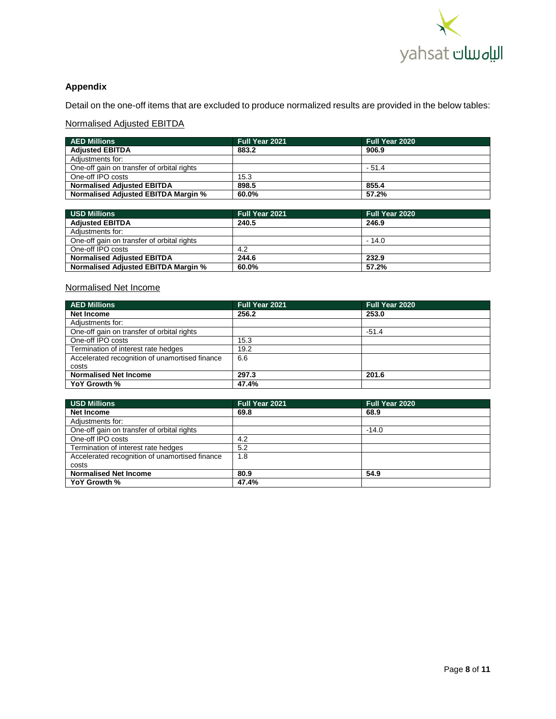

# **Appendix**

Detail on the one-off items that are excluded to produce normalized results are provided in the below tables:

# Normalised Adjusted EBITDA

| <b>AED Millions</b>                        | Full Year 2021 | <b>Full Year 2020</b> |
|--------------------------------------------|----------------|-----------------------|
| <b>Adjusted EBITDA</b>                     | 883.2          | 906.9                 |
| Adiustments for:                           |                |                       |
| One-off gain on transfer of orbital rights |                | $-51.4$               |
| One-off IPO costs                          | 15.3           |                       |
| <b>Normalised Adjusted EBITDA</b>          | 898.5          | 855.4                 |
| <b>Normalised Adjusted EBITDA Margin %</b> | 60.0%          | 57.2%                 |

| USD Millions                               | Full Year 2021 | <b>Full Year 2020</b> |
|--------------------------------------------|----------------|-----------------------|
| <b>Adjusted EBITDA</b>                     | 240.5          | 246.9                 |
| Adiustments for:                           |                |                       |
| One-off gain on transfer of orbital rights |                | $-14.0$               |
| One-off IPO costs                          | 4.2            |                       |
| <b>Normalised Adjusted EBITDA</b>          | 244.6          | 232.9                 |
| <b>Normalised Adjusted EBITDA Margin %</b> | 60.0%          | 57.2%                 |

# Normalised Net Income

| <b>AED Millions</b>                            | Full Year 2021 | Full Year 2020 |
|------------------------------------------------|----------------|----------------|
| Net Income                                     | 256.2          | 253.0          |
| Adjustments for:                               |                |                |
| One-off gain on transfer of orbital rights     |                | $-51.4$        |
| One-off IPO costs                              | 15.3           |                |
| Termination of interest rate hedges            | 19.2           |                |
| Accelerated recognition of unamortised finance | 6.6            |                |
| costs                                          |                |                |
| <b>Normalised Net Income</b>                   | 297.3          | 201.6          |
| YoY Growth %                                   | 47.4%          |                |

| <b>USD Millions</b>                            | Full Year 2021 | Full Year 2020 |
|------------------------------------------------|----------------|----------------|
| Net Income                                     | 69.8           | 68.9           |
| Adiustments for:                               |                |                |
| One-off gain on transfer of orbital rights     |                | $-14.0$        |
| One-off IPO costs                              | 4.2            |                |
| Termination of interest rate hedges            | 5.2            |                |
| Accelerated recognition of unamortised finance | 1.8            |                |
| costs                                          |                |                |
| <b>Normalised Net Income</b>                   | 80.9           | 54.9           |
| YoY Growth %                                   | 47.4%          |                |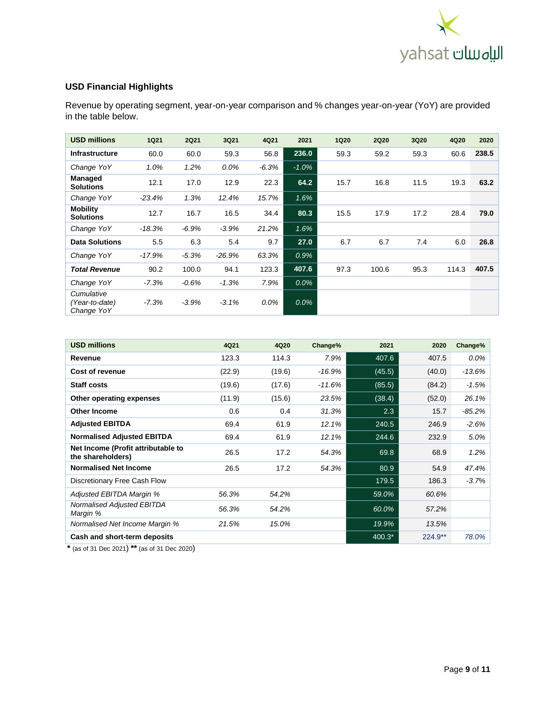

# **USD Financial Highlights**

Revenue by operating segment, year-on-year comparison and % changes year-on-year (YoY) are provided in the table below.

| <b>USD millions</b>                        | <b>1Q21</b> | <b>2Q21</b> | 3Q21     | 4Q21    | 2021    | <b>1Q20</b> | <b>2Q20</b> | 3Q20 | 4Q20  | 2020  |
|--------------------------------------------|-------------|-------------|----------|---------|---------|-------------|-------------|------|-------|-------|
| <b>Infrastructure</b>                      | 60.0        | 60.0        | 59.3     | 56.8    | 236.0   | 59.3        | 59.2        | 59.3 | 60.6  | 238.5 |
| Change YoY                                 | 1.0%        | 1.2%        | $0.0\%$  | $-6.3%$ | $-1.0%$ |             |             |      |       |       |
| <b>Managed</b><br><b>Solutions</b>         | 12.1        | 17.0        | 12.9     | 22.3    | 64.2    | 15.7        | 16.8        | 11.5 | 19.3  | 63.2  |
| Change YoY                                 | $-23.4%$    | 1.3%        | 12.4%    | 15.7%   | 1.6%    |             |             |      |       |       |
| <b>Mobility</b><br><b>Solutions</b>        | 12.7        | 16.7        | 16.5     | 34.4    | 80.3    | 15.5        | 17.9        | 17.2 | 28.4  | 79.0  |
| Change YoY                                 | $-18.3%$    | $-6.9%$     | $-3.9%$  | 21.2%   | 1.6%    |             |             |      |       |       |
| <b>Data Solutions</b>                      | 5.5         | 6.3         | 5.4      | 9.7     | 27.0    | 6.7         | 6.7         | 7.4  | 6.0   | 26.8  |
| Change YoY                                 | $-17.9%$    | $-5.3%$     | $-26.9%$ | 63.3%   | 0.9%    |             |             |      |       |       |
| <b>Total Revenue</b>                       | 90.2        | 100.0       | 94.1     | 123.3   | 407.6   | 97.3        | 100.6       | 95.3 | 114.3 | 407.5 |
| Change YoY                                 | $-7.3%$     | $-0.6%$     | $-1.3%$  | 7.9%    | 0.0%    |             |             |      |       |       |
| Cumulative<br>(Year-to-date)<br>Change YoY | $-7.3%$     | $-3.9%$     | $-3.1%$  | 0.0%    | $0.0\%$ |             |             |      |       |       |

| <b>USD millions</b>                                     | 4Q21   | 4Q20   | Change%  | 2021   | 2020      | Change%  |
|---------------------------------------------------------|--------|--------|----------|--------|-----------|----------|
| Revenue                                                 | 123.3  | 114.3  | 7.9%     | 407.6  | 407.5     | $0.0\%$  |
| Cost of revenue                                         | (22.9) | (19.6) | $-16.9%$ | (45.5) | (40.0)    | $-13.6%$ |
| Staff costs                                             | (19.6) | (17.6) | $-11.6%$ | (85.5) | (84.2)    | $-1.5%$  |
| Other operating expenses                                | (11.9) | (15.6) | 23.5%    | (38.4) | (52.0)    | 26.1%    |
| <b>Other Income</b>                                     | 0.6    | 0.4    | 31.3%    | 2.3    | 15.7      | $-85.2%$ |
| <b>Adjusted EBITDA</b>                                  | 69.4   | 61.9   | 12.1%    | 240.5  | 246.9     | $-2.6%$  |
| <b>Normalised Adjusted EBITDA</b>                       | 69.4   | 61.9   | 12.1%    | 244.6  | 232.9     | 5.0%     |
| Net Income (Profit attributable to<br>the shareholders) | 26.5   | 17.2   | 54.3%    | 69.8   | 68.9      | 1.2%     |
| <b>Normalised Net Income</b>                            | 26.5   | 17.2   | 54.3%    | 80.9   | 54.9      | 47.4%    |
| Discretionary Free Cash Flow                            |        |        |          | 179.5  | 186.3     | $-3.7%$  |
| <b>Adjusted EBITDA Margin %</b>                         | 56.3%  | 54.2%  |          | 59.0%  | 60.6%     |          |
| Normalised Adjusted EBITDA<br>Margin %                  | 56.3%  | 54.2%  |          | 60.0%  | 57.2%     |          |
| Normalised Net Income Margin %                          | 21.5%  | 15.0%  |          | 19.9%  | 13.5%     |          |
| Cash and short-term deposits                            |        |        |          | 400.3* | $224.9**$ | 78.0%    |

**\*** (as of 31 Dec 2021) **\*\*** (as of 31 Dec 2020)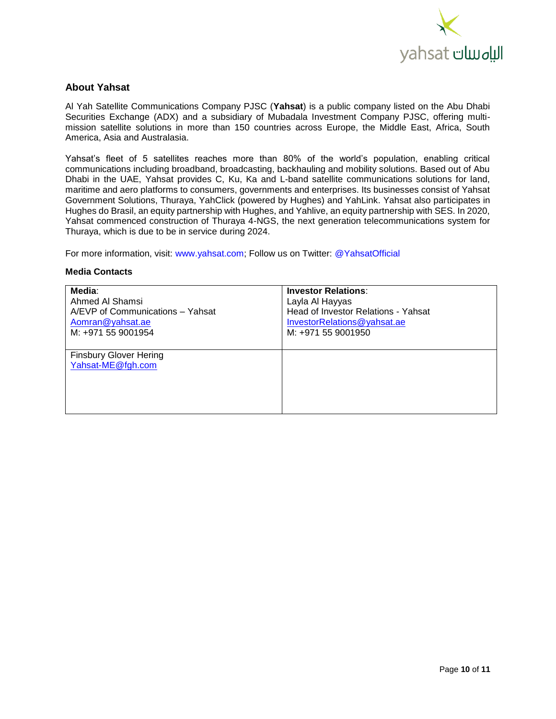

# **About Yahsat**

Al Yah Satellite Communications Company PJSC (**Yahsat**) is a public company listed on the Abu Dhabi Securities Exchange (ADX) and a subsidiary of Mubadala Investment Company PJSC, offering multimission satellite solutions in more than 150 countries across Europe, the Middle East, Africa, South America, Asia and Australasia.

Yahsat's fleet of 5 satellites reaches more than 80% of the world's population, enabling critical communications including broadband, broadcasting, backhauling and mobility solutions. Based out of Abu Dhabi in the UAE, Yahsat provides C, Ku, Ka and L-band satellite communications solutions for land, maritime and aero platforms to consumers, governments and enterprises. Its businesses consist of Yahsat Government Solutions, Thuraya, YahClick (powered by Hughes) and YahLink. Yahsat also participates in Hughes do Brasil, an equity partnership with Hughes, and Yahlive, an equity partnership with SES. In 2020, Yahsat commenced construction of Thuraya 4-NGS, the next generation telecommunications system for Thuraya, which is due to be in service during 2024.

For more information, visit: www.yahsat.com; Follow us on Twitter: @YahsatOfficial

#### **Media Contacts**

| Media:                           | <b>Investor Relations:</b>          |
|----------------------------------|-------------------------------------|
| Ahmed Al Shamsi                  | Layla Al Hayyas                     |
| A/EVP of Communications - Yahsat | Head of Investor Relations - Yahsat |
| Aomran@yahsat.ae                 | InvestorRelations@yahsat.ae         |
| M: +971 55 9001954               | M: +971 55 9001950                  |
|                                  |                                     |
| <b>Finsbury Glover Hering</b>    |                                     |
| Yahsat-ME@fgh.com                |                                     |
|                                  |                                     |
|                                  |                                     |
|                                  |                                     |
|                                  |                                     |